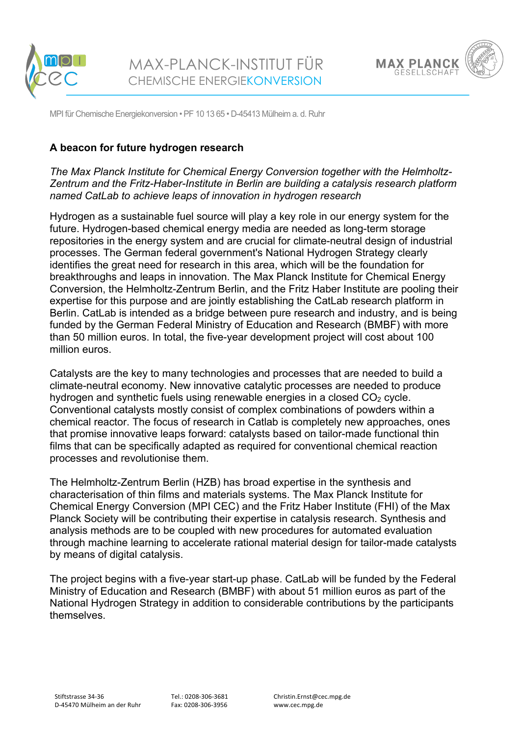



MPI für Chemische Energiekonversion • PF 10 13 65 • D-45413 Mülheim a. d. Ruhr

## **A beacon for future hydrogen research**

*The Max Planck Institute for Chemical Energy Conversion together with the Helmholtz-Zentrum and the Fritz-Haber-Institute in Berlin are building a catalysis research platform named CatLab to achieve leaps of innovation in hydrogen research*

Hydrogen as a sustainable fuel source will play a key role in our energy system for the future. Hydrogen-based chemical energy media are needed as long-term storage repositories in the energy system and are crucial for climate-neutral design of industrial processes. The German federal government's National Hydrogen Strategy clearly identifies the great need for research in this area, which will be the foundation for breakthroughs and leaps in innovation. The Max Planck Institute for Chemical Energy Conversion, the Helmholtz-Zentrum Berlin, and the Fritz Haber Institute are pooling their expertise for this purpose and are jointly establishing the CatLab research platform in Berlin. CatLab is intended as a bridge between pure research and industry, and is being funded by the German Federal Ministry of Education and Research (BMBF) with more than 50 million euros. In total, the five-year development project will cost about 100 million euros.

Catalysts are the key to many technologies and processes that are needed to build a climate-neutral economy. New innovative catalytic processes are needed to produce hydrogen and synthetic fuels using renewable energies in a closed  $CO<sub>2</sub>$  cycle. Conventional catalysts mostly consist of complex combinations of powders within a chemical reactor. The focus of research in Catlab is completely new approaches, ones that promise innovative leaps forward: catalysts based on tailor-made functional thin films that can be specifically adapted as required for conventional chemical reaction processes and revolutionise them.

The Helmholtz-Zentrum Berlin (HZB) has broad expertise in the synthesis and characterisation of thin films and materials systems. The Max Planck Institute for Chemical Energy Conversion (MPI CEC) and the Fritz Haber Institute (FHI) of the Max Planck Society will be contributing their expertise in catalysis research. Synthesis and analysis methods are to be coupled with new procedures for automated evaluation through machine learning to accelerate rational material design for tailor-made catalysts by means of digital catalysis.

The project begins with a five-year start-up phase. CatLab will be funded by the Federal Ministry of Education and Research (BMBF) with about 51 million euros as part of the National Hydrogen Strategy in addition to considerable contributions by the participants themselves.